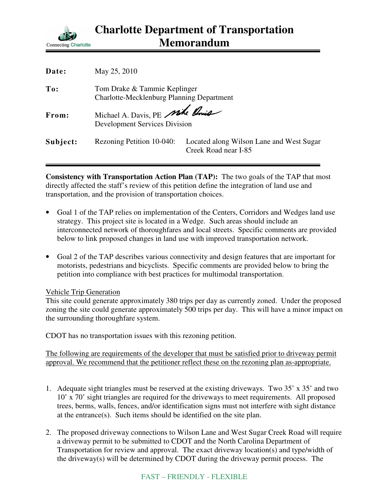

| May 25, 2010                                                              |                                                                  |
|---------------------------------------------------------------------------|------------------------------------------------------------------|
| Tom Drake & Tammie Keplinger<br>Charlotte-Mecklenburg Planning Department |                                                                  |
| <b>Development Services Division</b>                                      |                                                                  |
| Rezoning Petition 10-040:                                                 | Located along Wilson Lane and West Sugar<br>Creek Road near I-85 |
|                                                                           | Michael A. Davis, PE Mike Pois                                   |

**Consistency with Transportation Action Plan (TAP):** The two goals of the TAP that most directly affected the staff's review of this petition define the integration of land use and transportation, and the provision of transportation choices.

- Goal 1 of the TAP relies on implementation of the Centers, Corridors and Wedges land use strategy. This project site is located in a Wedge. Such areas should include an interconnected network of thoroughfares and local streets. Specific comments are provided below to link proposed changes in land use with improved transportation network.
- Goal 2 of the TAP describes various connectivity and design features that are important for motorists, pedestrians and bicyclists. Specific comments are provided below to bring the petition into compliance with best practices for multimodal transportation.

## Vehicle Trip Generation

This site could generate approximately 380 trips per day as currently zoned. Under the proposed zoning the site could generate approximately 500 trips per day. This will have a minor impact on the surrounding thoroughfare system.

CDOT has no transportation issues with this rezoning petition.

The following are requirements of the developer that must be satisfied prior to driveway permit approval. We recommend that the petitioner reflect these on the rezoning plan as-appropriate.

- 1. Adequate sight triangles must be reserved at the existing driveways. Two 35' x 35' and two 10' x 70' sight triangles are required for the driveways to meet requirements. All proposed trees, berms, walls, fences, and/or identification signs must not interfere with sight distance at the entrance(s). Such items should be identified on the site plan.
- 2. The proposed driveway connections to Wilson Lane and West Sugar Creek Road will require a driveway permit to be submitted to CDOT and the North Carolina Department of Transportation for review and approval. The exact driveway location(s) and type/width of the driveway(s) will be determined by CDOT during the driveway permit process. The